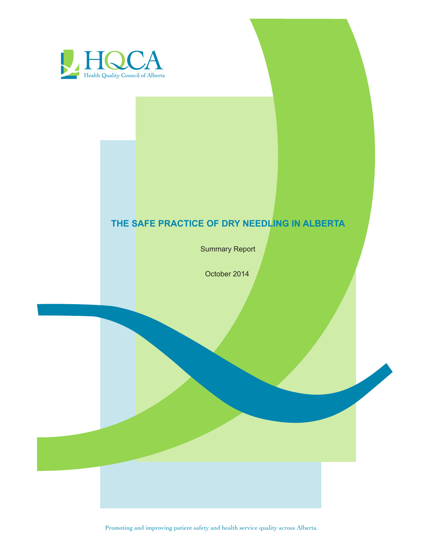

# **THE SAFE PRACTICE OF DRY NEEDLING IN ALBERTA**

Summary Report

October 2014

Promoting and improving patient safety and health service quality across Alberta.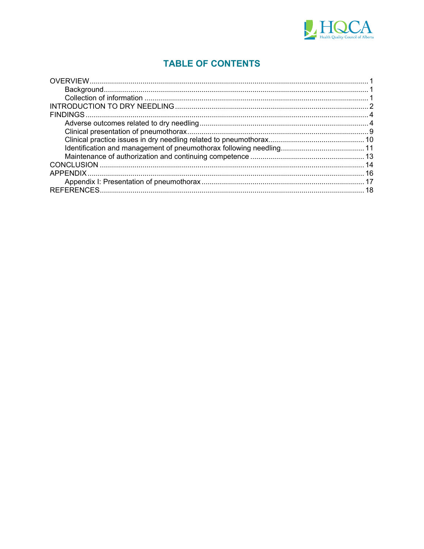

# **TABLE OF CONTENTS**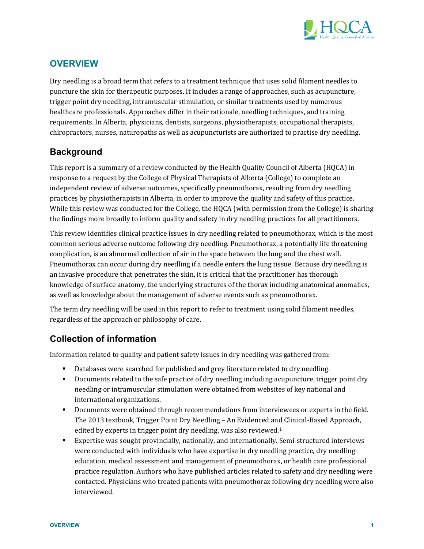

## **OVERVIEW**

Dry needling is a broad term that refers to a treatment technique that uses solid filament needles to puncture the skin for therapeutic purposes. It includes a range of approaches, such as acupuncture, trigger point dry needling, intramuscular stimulation, or similar treatments used by numerous healthcare professionals. Approaches differ in their rationale, needling techniques, and training requirements. In Alberta, physicians, dentists, surgeons, physiotherapists, occupational therapists, chiropractors, nurses, naturopaths as well as acupuncturists are authorized to practise dry needling.

## **Background**

This report is a summary of a review conducted by the Health Quality Council of Alberta (HQCA) in response to a request by the College of Physical Therapists of Alberta (College) to complete an independent review of adverse outcomes, specifically pneumothorax, resulting from dry needling practices by physiotherapists in Alberta, in order to improve the quality and safety of this practice. While this review was conducted for the College, the HQCA (with permission from the College) is sharing the findings more broadly to inform quality and safety in dry needling practices for all practitioners.

This review identifies clinical practice issues in dry needling related to pneumothorax, which is the most common serious adverse outcome following dry needling. Pneumothorax, a potentially life threatening complication, is an abnormal collection of air in the space between the lung and the chest wall. Pneumothorax can occur during dry needling if a needle enters the lung tissue. Because dry needling is an invasive procedure that penetrates the skin, it is critical that the practitioner has thorough knowledge of surface anatomy, the underlying structures of the thorax including anatomical anomalies, as well as knowledge about the management of adverse events such as pneumothorax.

The term dry needling will be used in this report to refer to treatment using solid filament needles, regardless of the approach or philosophy of care.

## **Collection of information**

Information related to quality and patient safety issues in dry needling was gathered from:

- Databases were searched for published and grey literature related to dry needling.
- Documents related to the safe practice of dry needling including acupuncture, trigger point dry needling or intramuscular stimulation were obtained from websites of key national and international organizations.
- Documents were obtained through recommendations from interviewees or experts in the field. The 2013 textbook, Trigger Point Dry Needling – An Evidenced and Clinical-Based Approach, edited by experts in trigger point dry needling, was also reviewed.<sup>1</sup>
- Expertise was sought provincially, nationally, and internationally. Semi-structured interviews were conducted with individuals who have expertise in dry needling practice, dry needling education, medical assessment and management of pneumothorax, or health care professional practice regulation. Authors who have published articles related to safety and dry needling were contacted. Physicians who treated patients with pneumothorax following dry needling were also interviewed.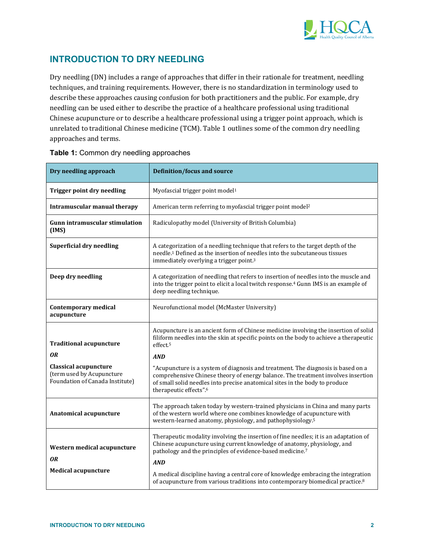

## **INTRODUCTION TO DRY NEEDLING**

Dry needling (DN) includes a range of approaches that differ in their rationale for treatment, needling techniques, and training requirements. However, there is no standardization in terminology used to describe these approaches causing confusion for both practitioners and the public. For example, dry needling can be used either to describe the practice of a healthcare professional using traditional Chinese acupuncture or to describe a healthcare professional using a trigger point approach, which is unrelated to traditional Chinese medicine (TCM). Table 1 outlines some of the common dry needling approaches and terms.

| Dry needling approach                                                                        | <b>Definition/focus and source</b>                                                                                                                                                                                                                                            |  |  |  |
|----------------------------------------------------------------------------------------------|-------------------------------------------------------------------------------------------------------------------------------------------------------------------------------------------------------------------------------------------------------------------------------|--|--|--|
| <b>Trigger point dry needling</b>                                                            | Myofascial trigger point model <sup>1</sup>                                                                                                                                                                                                                                   |  |  |  |
| <b>Intramuscular manual therapy</b>                                                          | American term referring to myofascial trigger point model <sup>2</sup>                                                                                                                                                                                                        |  |  |  |
| <b>Gunn intramuscular stimulation</b><br>(IMS)                                               | Radiculopathy model (University of British Columbia)                                                                                                                                                                                                                          |  |  |  |
| <b>Superficial dry needling</b>                                                              | A categorization of a needling technique that refers to the target depth of the<br>needle. <sup>1</sup> Defined as the insertion of needles into the subcutaneous tissues<br>immediately overlying a trigger point. <sup>3</sup>                                              |  |  |  |
| Deep dry needling                                                                            | A categorization of needling that refers to insertion of needles into the muscle and<br>into the trigger point to elicit a local twitch response. <sup>4</sup> Gunn IMS is an example of<br>deep needling technique.                                                          |  |  |  |
| <b>Contemporary medical</b><br>acupuncture                                                   | Neurofunctional model (McMaster University)                                                                                                                                                                                                                                   |  |  |  |
| <b>Traditional acupuncture</b>                                                               | Acupuncture is an ancient form of Chinese medicine involving the insertion of solid<br>filiform needles into the skin at specific points on the body to achieve a therapeutic<br>effect. <sup>5</sup>                                                                         |  |  |  |
| 0R                                                                                           | <b>AND</b>                                                                                                                                                                                                                                                                    |  |  |  |
| <b>Classical acupuncture</b><br>(term used by Acupuncture<br>Foundation of Canada Institute) | "Acupuncture is a system of diagnosis and treatment. The diagnosis is based on a<br>comprehensive Chinese theory of energy balance. The treatment involves insertion<br>of small solid needles into precise anatomical sites in the body to produce<br>therapeutic effects".6 |  |  |  |
| Anatomical acupuncture                                                                       | The approach taken today by western-trained physicians in China and many parts<br>of the western world where one combines knowledge of acupuncture with<br>western-learned anatomy, physiology, and pathophysiology. <sup>5</sup>                                             |  |  |  |
| Western medical acupuncture<br>0R                                                            | Therapeutic modality involving the insertion of fine needles; it is an adaptation of<br>Chinese acupuncture using current knowledge of anatomy, physiology, and<br>pathology and the principles of evidence-based medicine.7<br><b>AND</b>                                    |  |  |  |
| <b>Medical acupuncture</b>                                                                   | A medical discipline having a central core of knowledge embracing the integration<br>of acupuncture from various traditions into contemporary biomedical practice. <sup>8</sup>                                                                                               |  |  |  |

#### **Table 1:** Common dry needling approaches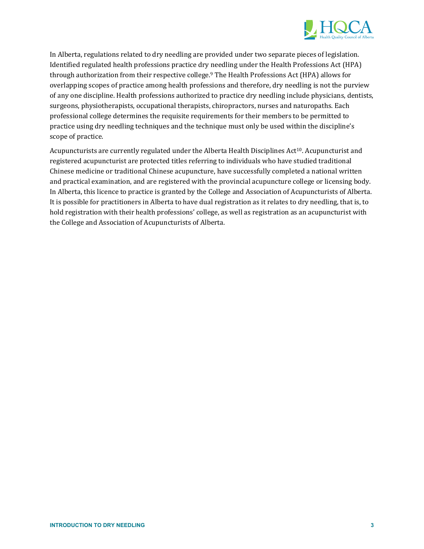

In Alberta, regulations related to dry needling are provided under two separate pieces of legislation. Identified regulated health professions practice dry needling under the Health Professions Act (HPA) through authorization from their respective college.<sup>9</sup> The Health Professions Act (HPA) allows for overlapping scopes of practice among health professions and therefore, dry needling is not the purview of any one discipline. Health professions authorized to practice dry needling include physicians, dentists, surgeons, physiotherapists, occupational therapists, chiropractors, nurses and naturopaths. Each professional college determines the requisite requirements for their members to be permitted to practice using dry needling techniques and the technique must only be used within the discipline's scope of practice.

Acupuncturists are currently regulated under the Alberta Health Disciplines Act<sup>10</sup>. Acupuncturist and registered acupuncturist are protected titles referring to individuals who have studied traditional Chinese medicine or traditional Chinese acupuncture, have successfully completed a national written and practical examination, and are registered with the provincial acupuncture college or licensing body. In Alberta, this licence to practice is granted by the College and Association of Acupuncturists of Alberta. It is possible for practitioners in Alberta to have dual registration as it relates to dry needling, that is, to hold registration with their health professions' college, as well as registration as an acupuncturist with the College and Association of Acupuncturists of Alberta.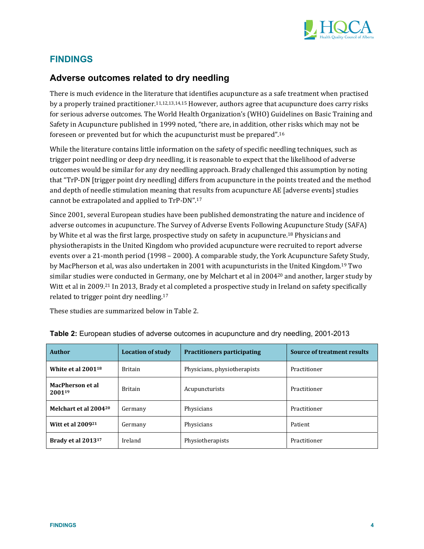

## **FINDINGS**

### **Adverse outcomes related to dry needling**

There is much evidence in the literature that identifies acupuncture as a safe treatment when practised by a properly trained practitioner.<sup>11,12,13,14,15</sup> However, authors agree that acupuncture does carry risks for serious adverse outcomes. The World Health Organization's (WHO) Guidelines on Basic Training and Safety in Acupuncture published in 1999 noted, "there are, in addition, other risks which may not be foreseen or prevented but for which the acupuncturist must be prepared".<sup>16</sup>

While the literature contains little information on the safety of specific needling techniques, such as trigger point needling or deep dry needling, it is reasonable to expect that the likelihood of adverse outcomes would be similar for any dry needling approach. Brady challenged this assumption by noting that "TrP-DN [trigger point dry needling] differs from acupuncture in the points treated and the method and depth of needle stimulation meaning that results from acupuncture AE [adverse events] studies cannot be extrapolated and applied to  $TrP-DN"$ .<sup>17</sup>

Since 2001, several European studies have been published demonstrating the nature and incidence of adverse outcomes in acupuncture. The Survey of Adverse Events Following Acupuncture Study (SAFA) by White et al was the first large, prospective study on safety in acupuncture.<sup>18</sup> Physicians and physiotherapists in the United Kingdom who provided acupuncture were recruited to report adverse events over a 21-month period (1998 – 2000). A comparable study, the York Acupuncture Safety Study, by MacPherson et al, was also undertaken in 2001 with acupuncturists in the United Kingdom.<sup>19</sup> Two similar studies were conducted in Germany, one by Melchart et al in  $2004^{20}$  and another, larger study by Witt et al in 2009.<sup>21</sup> In 2013, Brady et al completed a prospective study in Ireland on safety specifically related to trigger point dry needling. $17$ 

These studies are summarized below in Table 2.

| Author                            | <b>Location of study</b> | <b>Practitioners participating</b> | <b>Source of treatment results</b> |  |
|-----------------------------------|--------------------------|------------------------------------|------------------------------------|--|
| White et al $2001^{18}$           | <b>Britain</b>           | Physicians, physiotherapists       | Practitioner                       |  |
| <b>MacPherson et al</b><br>200119 | <b>Britain</b>           | Acupuncturists                     | Practitioner                       |  |
| Melchart et al 200420             | Germany                  | Physicians                         | Practitioner                       |  |
| Witt et al 2009 <sup>21</sup>     | Germany                  | Physicians                         | Patient                            |  |
| Brady et al 2013 <sup>17</sup>    | Ireland                  | Physiotherapists                   | Practitioner                       |  |

**Table 2:** European studies of adverse outcomes in acupuncture and dry needling, 2001-2013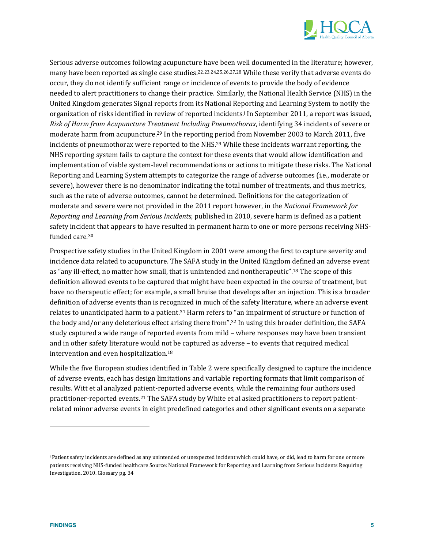

Serious adverse outcomes following acupuncture have been well documented in the literature; however, many have been reported as single case studies.<sup>22,23,24,25,26,27,28</sup> While these verify that adverse events do occur, they do not identify sufficient range or incidence of events to provide the body of evidence needed to alert practitioners to change their practice. Similarly, the National Health Service (NHS) in the United Kingdom generates Signal reports from its National Reporting and Learning System to notify the organization of risks identified in review of reported incidents.<sup>i</sup> In September 2011, a report was issued, *Risk of Harm from Acupuncture Treatment Including Pneumothorax*, identifying 34 incidents of severe or moderate harm from acupuncture.<sup>29</sup> In the reporting period from November 2003 to March 2011, five incidents of pneumothorax were reported to the NHS.<sup>29</sup> While these incidents warrant reporting, the NHS reporting system fails to capture the context for these events that would allow identification and implementation of viable system-level recommendations or actions to mitigate these risks. The National Reporting and Learning System attempts to categorize the range of adverse outcomes (i.e., moderate or severe), however there is no denominator indicating the total number of treatments, and thus metrics, such as the rate of adverse outcomes, cannot be determined. Definitions for the categorization of moderate and severe were not provided in the 2011 report however, in the *National Framework for Reporting and Learning from Serious Incidents*, published in 2010, severe harm is defined as a patient safety incident that appears to have resulted in permanent harm to one or more persons receiving NHSfunded care.<sup>30</sup>

Prospective safety studies in the United Kingdom in 2001 were among the first to capture severity and incidence data related to acupuncture. The SAFA study in the United Kingdom defined an adverse event as "any ill-effect, no matter how small, that is unintended and nontherapeutic".<sup>18</sup> The scope of this definition allowed events to be captured that might have been expected in the course of treatment, but have no therapeutic effect; for example, a small bruise that develops after an injection. This is a broader definition of adverse events than is recognized in much of the safety literature, where an adverse event relates to unanticipated harm to a patient.<sup>31</sup> Harm refers to "an impairment of structure or function of the body and/or any deleterious effect arising there from".<sup>32</sup> In using this broader definition, the SAFA study captured a wide range of reported events from mild – where responses may have been transient and in other safety literature would not be captured as adverse - to events that required medical intervention and even hospitalization.<sup>18</sup>

While the five European studies identified in Table 2 were specifically designed to capture the incidence of adverse events, each has design limitations and variable reporting formats that limit comparison of results. Witt et al analyzed patient-reported adverse events, while the remaining four authors used practitioner-reported events.<sup>21</sup> The SAFA study by White et al asked practitioners to report patientrelated minor adverse events in eight predefined categories and other significant events on a separate

 

Patient safety incidents are defined as any unintended or unexpected incident which could have, or did, lead to harm for one or more patients receiving NHS-funded healthcare Source: National Framework for Reporting and Learning from Serious Incidents Requiring Investigation. 2010. Glossary pg. 34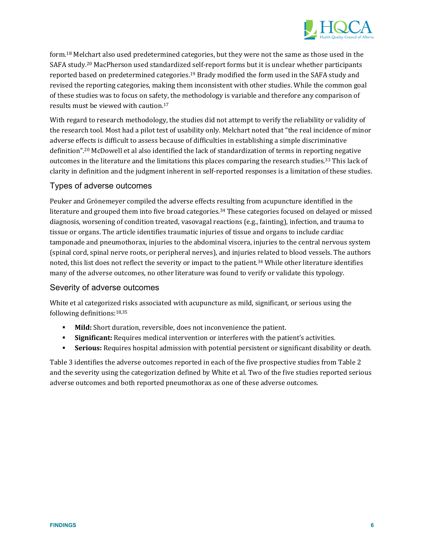

form.<sup>18</sup> Melchart also used predetermined categories, but they were not the same as those used in the SAFA study.<sup>20</sup> MacPherson used standardized self-report forms but it is unclear whether participants reported based on predetermined categories.<sup>19</sup> Brady modified the form used in the SAFA study and revised the reporting categories, making them inconsistent with other studies. While the common goal of these studies was to focus on safety, the methodology is variable and therefore any comparison of results must be viewed with caution.<sup>17</sup>

With regard to research methodology, the studies did not attempt to verify the reliability or validity of the research tool. Most had a pilot test of usability only. Melchart noted that "the real incidence of minor adverse effects is difficult to assess because of difficulties in establishing a simple discriminative definition".<sup>20</sup> McDowell et al also identified the lack of standardization of terms in reporting negative outcomes in the literature and the limitations this places comparing the research studies.<sup>33</sup> This lack of clarity in definition and the judgment inherent in self-reported responses is a limitation of these studies.

### Types of adverse outcomes

Peuker and Grönemeyer compiled the adverse effects resulting from acupuncture identified in the literature and grouped them into five broad categories.<sup>34</sup> These categories focused on delayed or missed diagnosis, worsening of condition treated, vasovagal reactions  $(e.g.,$  fainting), infection, and trauma to tissue or organs. The article identifies traumatic injuries of tissue and organs to include cardiac tamponade and pneumothorax, injuries to the abdominal viscera, injuries to the central nervous system (spinal cord, spinal nerve roots, or peripheral nerves), and injuries related to blood vessels. The authors noted, this list does not reflect the severity or impact to the patient.<sup>34</sup> While other literature identifies many of the adverse outcomes, no other literature was found to verify or validate this typology.

#### Severity of adverse outcomes

White et al categorized risks associated with acupuncture as mild, significant, or serious using the following definitions: $18,35$ 

- **Mild:** Short duration, reversible, does not inconvenience the patient.
- **Significant:** Requires medical intervention or interferes with the patient's activities.
- **Serious:** Requires hospital admission with potential persistent or significant disability or death.

Table 3 identifies the adverse outcomes reported in each of the five prospective studies from Table 2 and the severity using the categorization defined by White et al. Two of the five studies reported serious adverse outcomes and both reported pneumothorax as one of these adverse outcomes.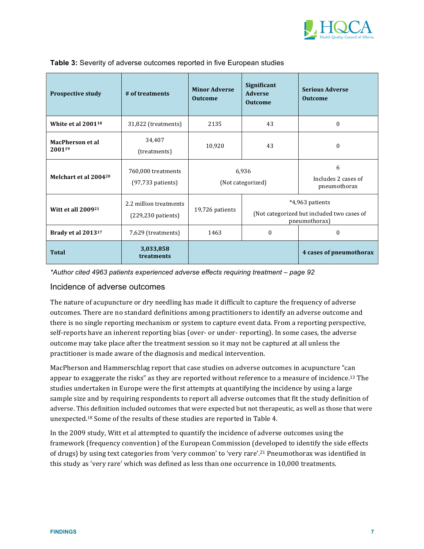

| <b>Prospective study</b><br># of treatments |                                                         | Significant<br><b>Minor Adverse</b><br><b>Adverse</b><br><b>Outcome</b><br><b>Outcome</b> |                                                                                | <b>Serious Adverse</b><br><b>Outcome</b> |  |
|---------------------------------------------|---------------------------------------------------------|-------------------------------------------------------------------------------------------|--------------------------------------------------------------------------------|------------------------------------------|--|
| White et al $2001^{18}$                     | 43<br>31,822 (treatments)<br>2135                       |                                                                                           | $\theta$                                                                       |                                          |  |
| <b>MacPherson et al</b><br>200119           | 34,407<br>(treatments)                                  | 10,920                                                                                    | 43                                                                             | $\boldsymbol{0}$                         |  |
| Melchart et al 200420                       | 760,000 treatments<br>$(97, 733$ patients)              | 6,936<br>(Not categorized)                                                                |                                                                                | 6<br>Includes 2 cases of<br>pneumothorax |  |
| <b>Witt et all 200921</b>                   | 2.2 million treatments<br>$(229, 230 \text{ patients})$ | 19,726 patients                                                                           | *4,963 patients<br>(Not categorized but included two cases of<br>pneumothorax) |                                          |  |
| Brady et al 201317                          | 7,629 (treatments)                                      |                                                                                           | $\theta$                                                                       | $\theta$                                 |  |
| Total                                       | 3,033,858<br>treatments                                 |                                                                                           |                                                                                | 4 cases of pneumothorax                  |  |

#### Table 3: Severity of adverse outcomes reported in five European studies

\*Author cited 4963 patients experienced adverse effects requiring treatment – page 92

#### Incidence of adverse outcomes

The nature of acupuncture or dry needling has made it difficult to capture the frequency of adverse outcomes. There are no standard definitions among practitioners to identify an adverse outcome and there is no single reporting mechanism or system to capture event data. From a reporting perspective, self-reports have an inherent reporting bias (over- or under- reporting). In some cases, the adverse outcome may take place after the treatment session so it may not be captured at all unless the practitioner is made aware of the diagnosis and medical intervention.

MacPherson and Hammerschlag report that case studies on adverse outcomes in acupuncture "can appear to exaggerate the risks" as they are reported without reference to a measure of incidence.<sup>13</sup> The studies undertaken in Europe were the first attempts at quantifying the incidence by using a large sample size and by requiring respondents to report all adverse outcomes that fit the study definition of adverse. This definition included outcomes that were expected but not therapeutic, as well as those that were unexpected.<sup>18</sup> Some of the results of these studies are reported in Table 4.

In the 2009 study, Witt et al attempted to quantify the incidence of adverse outcomes using the framework (frequency convention) of the European Commission (developed to identify the side effects of drugs) by using text categories from 'very common' to 'very rare'.<sup>21</sup> Pneumothorax was identified in this study as 'very rare' which was defined as less than one occurrence in 10,000 treatments.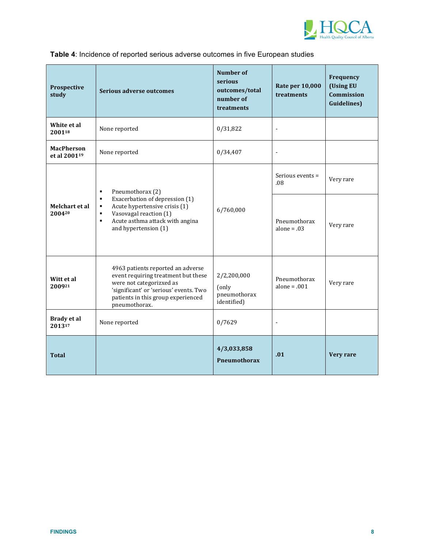

| Prospective<br>study                          | Serious adverse outcomes                                                                                                                                                                                                     | <b>Number of</b><br>serious<br>outcomes/total<br>number of<br>treatments | <b>Rate per 10,000</b><br>treatments | Frequency<br>(Using EU<br>Commission<br><b>Guidelines</b> ) |
|-----------------------------------------------|------------------------------------------------------------------------------------------------------------------------------------------------------------------------------------------------------------------------------|--------------------------------------------------------------------------|--------------------------------------|-------------------------------------------------------------|
| White et al<br>200118                         | None reported                                                                                                                                                                                                                | 0/31,822                                                                 | $\blacksquare$                       |                                                             |
| <b>MacPherson</b><br>et al 2001 <sup>19</sup> | None reported                                                                                                                                                                                                                | 0/34,407                                                                 | $\blacksquare$                       |                                                             |
| Melchart et al<br>200420                      | Pneumothorax (2)<br>$\blacksquare$                                                                                                                                                                                           | 6/760,000                                                                | Serious events =<br>.08              | Very rare                                                   |
|                                               | Exacerbation of depression (1)<br>$\blacksquare$<br>Acute hypertensive crisis (1)<br>$\blacksquare$<br>Vasovagal reaction (1)<br>$\blacksquare$<br>Acute asthma attack with angina<br>$\blacksquare$<br>and hypertension (1) |                                                                          | Pneumothorax<br>alone = $.03$        | Very rare                                                   |
| Witt et al<br>200921                          | 4963 patients reported an adverse<br>event requiring treatment but these<br>were not categorizxed as<br>'significant' or 'serious' events. Two<br>patients in this group experienced<br>pneumothorax.                        | 2/2,200,000<br>(only<br>pneumothorax<br>identified)                      | Pneumothorax<br>alone = $.001$       | Very rare                                                   |
| Brady et al<br>201317                         | None reported                                                                                                                                                                                                                | 0/7629                                                                   | $\overline{a}$                       |                                                             |
| <b>Total</b>                                  |                                                                                                                                                                                                                              | 4/3,033,858<br><b>Pneumothorax</b>                                       | .01                                  | Very rare                                                   |

## **Table 4**: Incidence of reported serious adverse outcomes in five European studies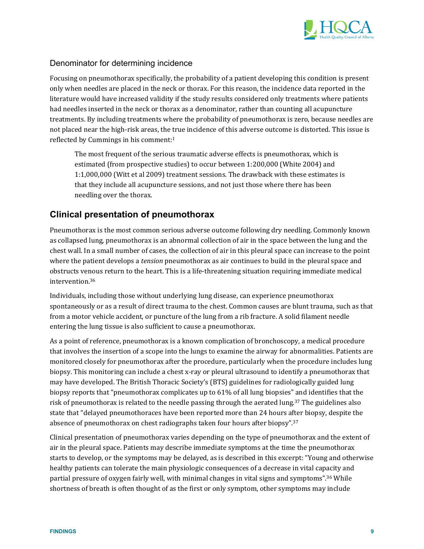

### Denominator for determining incidence

Focusing on pneumothorax specifically, the probability of a patient developing this condition is present only when needles are placed in the neck or thorax. For this reason, the incidence data reported in the literature would have increased validity if the study results considered only treatments where patients had needles inserted in the neck or thorax as a denominator, rather than counting all acupuncture treatments. By including treatments where the probability of pneumothorax is zero, because needles are not placed near the high-risk areas, the true incidence of this adverse outcome is distorted. This issue is reflected by Cummings in his comment: $1$ 

The most frequent of the serious traumatic adverse effects is pneumothorax, which is estimated (from prospective studies) to occur between 1:200,000 (White 2004) and 1:1,000,000 (Witt et al 2009) treatment sessions. The drawback with these estimates is that they include all acupuncture sessions, and not just those where there has been needling over the thorax.

## **Clinical presentation of pneumothorax**

Pneumothorax is the most common serious adverse outcome following dry needling. Commonly known as collapsed lung, pneumothorax is an abnormal collection of air in the space between the lung and the chest wall. In a small number of cases, the collection of air in this pleural space can increase to the point where the patient develops a *tension* pneumothorax as air continues to build in the pleural space and obstructs venous return to the heart. This is a life-threatening situation requiring immediate medical intervention.36

Individuals, including those without underlying lung disease, can experience pneumothorax spontaneously or as a result of direct trauma to the chest. Common causes are blunt trauma, such as that from a motor vehicle accident, or puncture of the lung from a rib fracture. A solid filament needle entering the lung tissue is also sufficient to cause a pneumothorax.

As a point of reference, pneumothorax is a known complication of bronchoscopy, a medical procedure that involves the insertion of a scope into the lungs to examine the airway for abnormalities. Patients are monitored closely for pneumothorax after the procedure, particularly when the procedure includes lung biopsy. This monitoring can include a chest x-ray or pleural ultrasound to identify a pneumothorax that may have developed. The British Thoracic Society's (BTS) guidelines for radiologically guided lung biopsy reports that "pneumothorax complicates up to 61% of all lung biopsies" and identifies that the risk of pneumothorax is related to the needle passing through the aerated  $\text{lung.}^{37}$  The guidelines also state that "delayed pneumothoraces have been reported more than 24 hours after biopsy, despite the absence of pneumothorax on chest radiographs taken four hours after biopsy".<sup>37</sup>

Clinical presentation of pneumothorax varies depending on the type of pneumothorax and the extent of air in the pleural space. Patients may describe immediate symptoms at the time the pneumothorax starts to develop, or the symptoms may be delayed, as is described in this excerpt: "Young and otherwise healthy patients can tolerate the main physiologic consequences of a decrease in vital capacity and partial pressure of oxygen fairly well, with minimal changes in vital signs and symptoms".<sup>36</sup> While shortness of breath is often thought of as the first or only symptom, other symptoms may include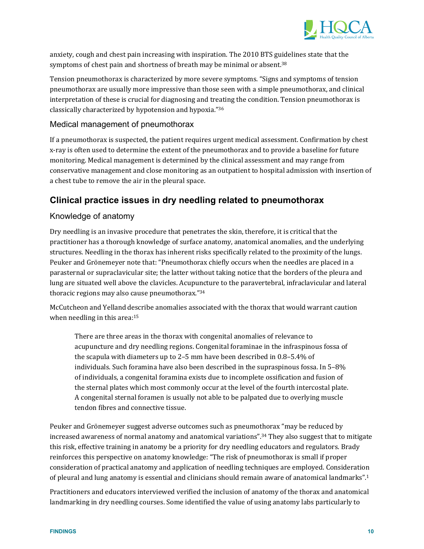

anxiety, cough and chest pain increasing with inspiration. The 2010 BTS guidelines state that the symptoms of chest pain and shortness of breath may be minimal or absent.<sup>38</sup>

Tension pneumothorax is characterized by more severe symptoms. "Signs and symptoms of tension pneumothorax are usually more impressive than those seen with a simple pneumothorax, and clinical interpretation of these is crucial for diagnosing and treating the condition. Tension pneumothorax is classically characterized by hypotension and hypoxia."36

#### Medical management of pneumothorax

If a pneumothorax is suspected, the patient requires urgent medical assessment. Confirmation by chest x-ray is often used to determine the extent of the pneumothorax and to provide a baseline for future monitoring. Medical management is determined by the clinical assessment and may range from conservative management and close monitoring as an outpatient to hospital admission with insertion of a chest tube to remove the air in the pleural space.

## **Clinical practice issues in dry needling related to pneumothorax**

### Knowledge of anatomy

Dry needling is an invasive procedure that penetrates the skin, therefore, it is critical that the practitioner has a thorough knowledge of surface anatomy, anatomical anomalies, and the underlying structures. Needling in the thorax has inherent risks specifically related to the proximity of the lungs. Peuker and Grönemeyer note that: "Pneumothorax chiefly occurs when the needles are placed in a parasternal or supraclavicular site; the latter without taking notice that the borders of the pleura and lung are situated well above the clavicles. Acupuncture to the paravertebral, infraclavicular and lateral thoracic regions may also cause pneumothorax."34

McCutcheon and Yelland describe anomalies associated with the thorax that would warrant caution when needling in this area: $15$ 

There are three areas in the thorax with congenital anomalies of relevance to acupuncture and dry needling regions. Congenital foraminae in the infraspinous fossa of the scapula with diameters up to 2–5 mm have been described in  $0.8-5.4\%$  of individuals. Such foramina have also been described in the supraspinous fossa. In  $5-8\%$ of individuals, a congenital foramina exists due to incomplete ossification and fusion of the sternal plates which most commonly occur at the level of the fourth intercostal plate. A congenital sternal foramen is usually not able to be palpated due to overlying muscle tendon fibres and connective tissue.

Peuker and Grönemeyer suggest adverse outcomes such as pneumothorax "may be reduced by increased awareness of normal anatomy and anatomical variations".<sup>34</sup> They also suggest that to mitigate this risk, effective training in anatomy be a priority for dry needling educators and regulators. Brady reinforces this perspective on anatomy knowledge: "The risk of pneumothorax is small if proper consideration of practical anatomy and application of needling techniques are employed. Consideration of pleural and lung anatomy is essential and clinicians should remain aware of anatomical landmarks".<sup>1</sup>

Practitioners and educators interviewed verified the inclusion of anatomy of the thorax and anatomical landmarking in dry needling courses. Some identified the value of using anatomy labs particularly to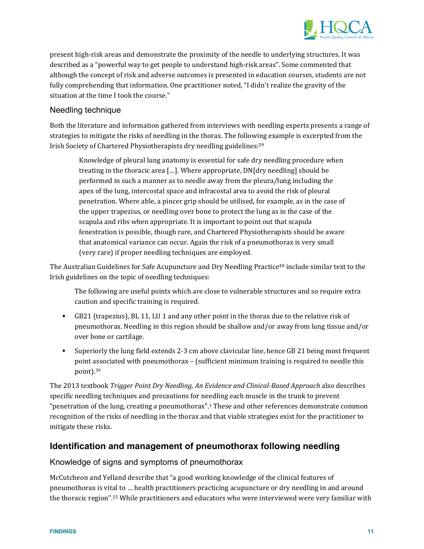

present high-risk areas and demonstrate the proximity of the needle to underlying structures. It was described as a "powerful way to get people to understand high-risk areas". Some commented that although the concept of risk and adverse outcomes is presented in education courses, students are not fully comprehending that information. One practitioner noted, "I didn't realize the gravity of the situation at the time I took the course."

### Needling technique

Both the literature and information gathered from interviews with needling experts presents a range of strategies to mitigate the risks of needling in the thorax. The following example is excerpted from the Irish Society of Chartered Physiotherapists dry needling guidelines: 39

Knowledge of pleural lung anatomy is essential for safe dry needling procedure when treating in the thoracic area [...]. Where appropriate, DN[dry needling] should be performed in such a manner as to needle away from the pleura/lung including the apex of the lung, intercostal space and infracostal area to avoid the risk of pleural penetration. Where able, a pincer grip should be utilised, for example, as in the case of the upper trapezius, or needling over bone to protect the lung as in the case of the scapula and ribs when appropriate. It is important to point out that scapula fenestration is possible, though rare, and Chartered Physiotherapists should be aware that anatomical variance can occur. Again the risk of a pneumothorax is very small (very rare) if proper needling techniques are employed.

The Australian Guidelines for Safe Acupuncture and Dry Needling Practice<sup>40</sup> include similar text to the Irish guidelines on the topic of needling techniques:

The following are useful points which are close to vulnerable structures and so require extra caution and specific training is required.

- **GB21** (trapezius), BL 11, LU 1 and any other point in the thorax due to the relative risk of pneumothorax. Needling in this region should be shallow and/or away from lung tissue and/or over bone or cartilage.
- Superiorly the lung field extends 2-3 cm above clavicular line, hence GB 21 being most frequent point associated with pneumothorax – (sufficient minimum training is required to needle this point).39

The 2013 textbook *Trigger Point Dry Needling, An Evidence and Clinical‐Based Approach* also describes specific needling techniques and precautions for needling each muscle in the trunk to prevent "penetration of the lung, creating a pneumothorax".<sup>1</sup> These and other references demonstrate common recognition of the risks of needling in the thorax and that viable strategies exist for the practitioner to mitigate these risks.

### **Identification and management of pneumothorax following needling**

#### Knowledge of signs and symptoms of pneumothorax

McCutcheon and Yelland describe that "a good working knowledge of the clinical features of pneumothorax is vital to ... health practitioners practicing acupuncture or dry needling in and around the thoracic region".<sup>15</sup> While practitioners and educators who were interviewed were very familiar with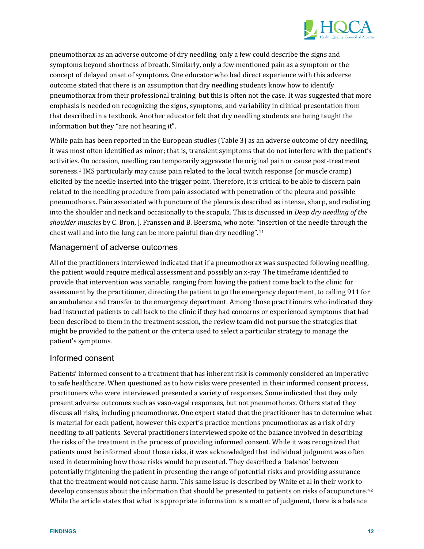

pneumothorax as an adverse outcome of dry needling, only a few could describe the signs and symptoms beyond shortness of breath. Similarly, only a few mentioned pain as a symptom or the concept of delayed onset of symptoms. One educator who had direct experience with this adverse outcome stated that there is an assumption that dry needling students know how to identify pneumothorax from their professional training, but this is often not the case. It was suggested that more emphasis is needed on recognizing the signs, symptoms, and variability in clinical presentation from that described in a textbook. Another educator felt that dry needling students are being taught the information but they "are not hearing it".

While pain has been reported in the European studies (Table 3) as an adverse outcome of dry needling, it was most often identified as minor; that is, transient symptoms that do not interfere with the patient's activities. On occasion, needling can temporarily aggravate the original pain or cause post-treatment soreness.<sup>1</sup> IMS particularly may cause pain related to the local twitch response (or muscle cramp) elicited by the needle inserted into the trigger point. Therefore, it is critical to be able to discern pain related to the needling procedure from pain associated with penetration of the pleura and possible pneumothorax. Pain associated with puncture of the pleura is described as intense, sharp, and radiating into the shoulder and neck and occasionally to the scapula. This is discussed in *Deep dry needling of the shoulder muscles* by C. Bron, J. Franssen and B. Beersma, who note: "insertion of the needle through the chest wall and into the lung can be more painful than dry needling". $41$ 

#### Management of adverse outcomes

All of the practitioners interviewed indicated that if a pneumothorax was suspected following needling, the patient would require medical assessment and possibly an x-ray. The timeframe identified to provide that intervention was variable, ranging from having the patient come back to the clinic for assessment by the practitioner, directing the patient to go the emergency department, to calling 911 for an ambulance and transfer to the emergency department. Among those practitioners who indicated they had instructed patients to call back to the clinic if they had concerns or experienced symptoms that had been described to them in the treatment session, the review team did not pursue the strategies that might be provided to the patient or the criteria used to select a particular strategy to manage the patient's symptoms.

#### Informed consent

Patients' informed consent to a treatment that has inherent risk is commonly considered an imperative to safe healthcare. When questioned as to how risks were presented in their informed consent process, practitoners who were interviewed presented a variety of responses. Some indicated that they only present adverse outcomes such as vaso-vagal responses, but not pneumothorax. Others stated they discuss all risks, including pneumothorax. One expert stated that the practitioner has to determine what is material for each patient, however this expert's practice mentions pneumothorax as a risk of dry needling to all patients. Several practitioners interviewed spoke of the balance involved in describing the risks of the treatment in the process of providing informed consent. While it was recognized that patients must be informed about those risks, it was acknowledged that individual judgment was often used in determining how those risks would be presented. They described a 'balance' between potentially frightening the patient in presenting the range of potential risks and providing assurance that the treatment would not cause harm. This same issue is described by White et al in their work to develop consensus about the information that should be presented to patients on risks of acupuncture.<sup>42</sup> While the article states that what is appropriate information is a matter of judgment, there is a balance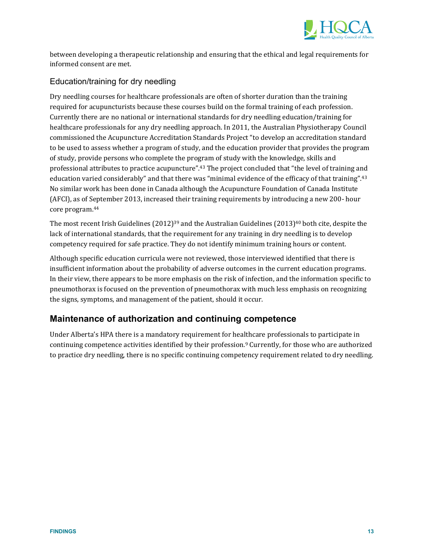

between developing a therapeutic relationship and ensuring that the ethical and legal requirements for informed consent are met.

### Education/training for dry needling

Dry needling courses for healthcare professionals are often of shorter duration than the training required for acupuncturists because these courses build on the formal training of each profession. Currently there are no national or international standards for dry needling education/training for healthcare professionals for any dry needling approach. In 2011, the Australian Physiotherapy Council commissioned the Acupuncture Accreditation Standards Project "to develop an accreditation standard to be used to assess whether a program of study, and the education provider that provides the program of study, provide persons who complete the program of study with the knowledge, skills and professional attributes to practice acupuncture".<sup>43</sup> The project concluded that "the level of training and education varied considerably" and that there was "minimal evidence of the efficacy of that training".<sup>43</sup> No similar work has been done in Canada although the Acupuncture Foundation of Canada Institute (AFCI), as of September 2013, increased their training requirements by introducing a new 200- hour core program.<sup>44</sup>

The most recent Irish Guidelines  $(2012)^{39}$  and the Australian Guidelines  $(2013)^{40}$  both cite, despite the lack of international standards, that the requirement for any training in dry needling is to develop competency required for safe practice. They do not identify minimum training hours or content.

Although specific education curricula were not reviewed, those interviewed identified that there is insufficient information about the probability of adverse outcomes in the current education programs. In their view, there appears to be more emphasis on the risk of infection, and the information specific to pneumothorax is focused on the prevention of pneumothorax with much less emphasis on recognizing the signs, symptoms, and management of the patient, should it occur.

## **Maintenance of authorization and continuing competence**

Under Alberta's HPA there is a mandatory requirement for healthcare professionals to participate in continuing competence activities identified by their profession.<sup>9</sup> Currently, for those who are authorized to practice dry needling, there is no specific continuing competency requirement related to dry needling.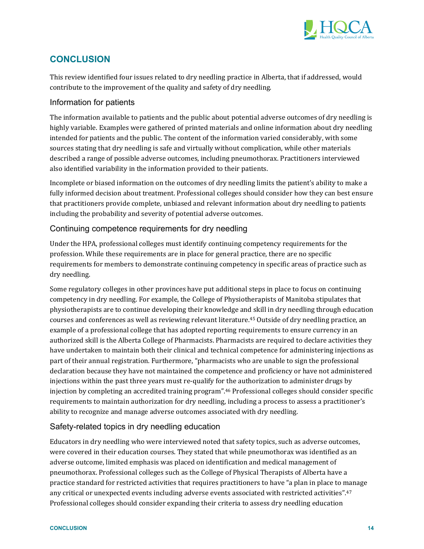

## **CONCLUSION**

This review identified four issues related to dry needling practice in Alberta, that if addressed, would contribute to the improvement of the quality and safety of dry needling.

### Information for patients

The information available to patients and the public about potential adverse outcomes of dry needling is highly variable. Examples were gathered of printed materials and online information about dry needling intended for patients and the public. The content of the information varied considerably, with some sources stating that dry needling is safe and virtually without complication, while other materials described a range of possible adverse outcomes, including pneumothorax. Practitioners interviewed also identified variability in the information provided to their patients.

Incomplete or biased information on the outcomes of dry needling limits the patient's ability to make a fully informed decision about treatment. Professional colleges should consider how they can best ensure that practitioners provide complete, unbiased and relevant information about dry needling to patients including the probability and severity of potential adverse outcomes.

### Continuing competence requirements for dry needling

Under the HPA, professional colleges must identify continuing competency requirements for the profession. While these requirements are in place for general practice, there are no specific requirements for members to demonstrate continuing competency in specific areas of practice such as dry needling.

Some regulatory colleges in other provinces have put additional steps in place to focus on continuing competency in dry needling. For example, the College of Physiotherapists of Manitoba stipulates that physiotherapists are to continue developing their knowledge and skill in dry needling through education courses and conferences as well as reviewing relevant literature.<sup>45</sup> Outside of dry needling practice, an example of a professional college that has adopted reporting requirements to ensure currency in an authorized skill is the Alberta College of Pharmacists. Pharmacists are required to declare activities they have undertaken to maintain both their clinical and technical competence for administering injections as part of their annual registration. Furthermore, "pharmacists who are unable to sign the professional declaration because they have not maintained the competence and proficiency or have not administered injections within the past three years must re-qualify for the authorization to administer drugs by injection by completing an accredited training program".<sup>46</sup> Professional colleges should consider specific requirements to maintain authorization for dry needling, including a process to assess a practitioner's ability to recognize and manage adverse outcomes associated with dry needling.

### Safety-related topics in dry needling education

Educators in dry needling who were interviewed noted that safety topics, such as adverse outcomes, were covered in their education courses. They stated that while pneumothorax was identified as an adverse outcome, limited emphasis was placed on identification and medical management of pneumothorax. Professional colleges such as the College of Physical Therapists of Alberta have a practice standard for restricted activities that requires practitioners to have "a plan in place to manage any critical or unexpected events including adverse events associated with restricted activities".<sup>47</sup> Professional colleges should consider expanding their criteria to assess dry needling education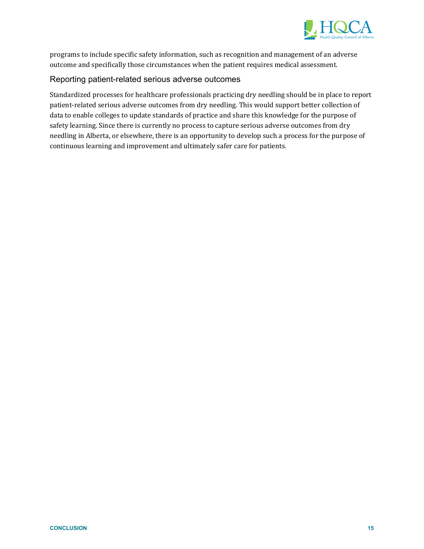

programs to include specific safety information, such as recognition and management of an adverse outcome and specifically those circumstances when the patient requires medical assessment.

### Reporting patient-related serious adverse outcomes

Standardized processes for healthcare professionals practicing dry needling should be in place to report patient-related serious adverse outcomes from dry needling. This would support better collection of data to enable colleges to update standards of practice and share this knowledge for the purpose of safety learning. Since there is currently no process to capture serious adverse outcomes from dry needling in Alberta, or elsewhere, there is an opportunity to develop such a process for the purpose of continuous learning and improvement and ultimately safer care for patients.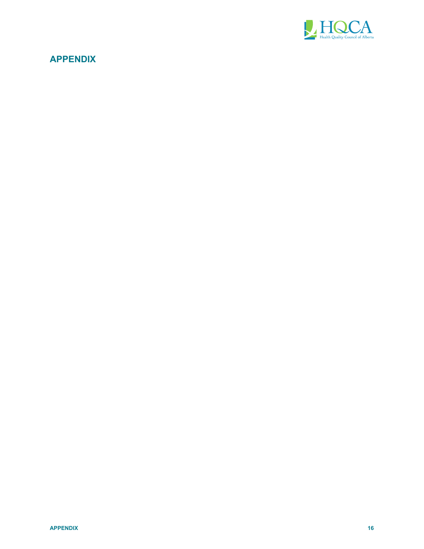

## **APPENDIX**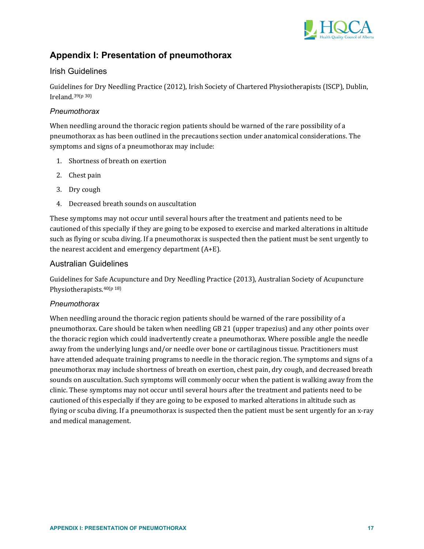

## **Appendix I: Presentation of pneumothorax**

### Irish Guidelines

Guidelines for Dry Needling Practice (2012), Irish Society of Chartered Physiotherapists (ISCP), Dublin, Ireland. $39(p\,30)$ 

#### *Pneumothorax*

When needling around the thoracic region patients should be warned of the rare possibility of a pneumothorax as has been outlined in the precautions section under anatomical considerations. The symptoms and signs of a pneumothorax may include:

- 1. Shortness of breath on exertion
- 2. Chest pain
- 3. Dry cough
- 4. Decreased breath sounds on auscultation

These symptoms may not occur until several hours after the treatment and patients need to be cautioned of this specially if they are going to be exposed to exercise and marked alterations in altitude such as flying or scuba diving. If a pneumothorax is suspected then the patient must be sent urgently to the nearest accident and emergency department  $(A+E)$ .

### Australian Guidelines

Guidelines for Safe Acupuncture and Dry Needling Practice (2013), Australian Society of Acupuncture Physiotherapists. $40(p\,18)$ 

#### *Pneumothorax*

When needling around the thoracic region patients should be warned of the rare possibility of a pneumothorax. Care should be taken when needling GB 21 (upper trapezius) and any other points over the thoracic region which could inadvertently create a pneumothorax. Where possible angle the needle away from the underlying lungs and/or needle over bone or cartilaginous tissue. Practitioners must have attended adequate training programs to needle in the thoracic region. The symptoms and signs of a pneumothorax may include shortness of breath on exertion, chest pain, dry cough, and decreased breath sounds on auscultation. Such symptoms will commonly occur when the patient is walking away from the clinic. These symptoms may not occur until several hours after the treatment and patients need to be cautioned of this especially if they are going to be exposed to marked alterations in altitude such as flying or scuba diving. If a pneumothorax is suspected then the patient must be sent urgently for an x-ray and medical management.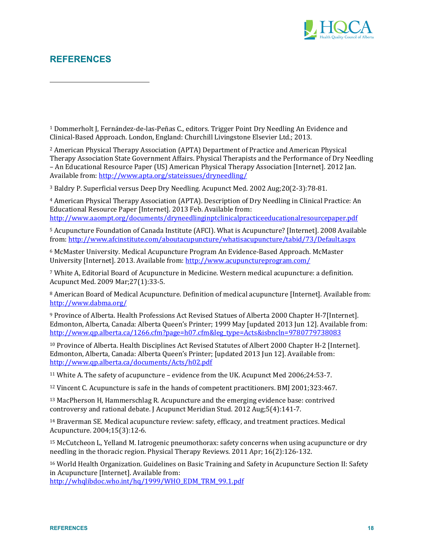

## **REFERENCES**

 

<sup>1</sup> Dommerholt J, Fernández-de-las-Peñas C., editors. Trigger Point Dry Needling An Evidence and Clinical-Based Approach. London, England: Churchill Livingstone Elsevier Ltd.; 2013.

<sup>2</sup> American Physical Therapy Association (APTA) Department of Practice and American Physical Therapy Association State Government Affairs. Physical Therapists and the Performance of Dry Needling – An Educational Resource Paper (US) American Physical Therapy Association [Internet]. 2012 Jan. Available from: http://www.apta.org/stateissues/dryneedling/

<sup>3</sup> Baldry P. Superficial versus Deep Dry Needling. Acupunct Med. 2002 Aug;20(2-3):78-81.

<sup>4</sup> American Physical Therapy Association (APTA). Description of Dry Needling in Clinical Practice: An Educational Resource Paper [Internet]. 2013 Feb. Available from: http://www.aaompt.org/documents/dryneedlinginptclinicalpracticeeducationalresourcepaper.pdf

<sup>5</sup> Acupuncture Foundation of Canada Institute (AFCI). What is Acupuncture? [Internet]. 2008 Available from: http://www.afcinstitute.com/aboutacupuncture/whatisacupuncture/tabid/73/Default.aspx

<sup>6</sup> McMaster University. Medical Acupuncture Program An Evidence-Based Approach. McMaster University [Internet]. 2013. Available from: http://www.acupunctureprogram.com/

<sup>7</sup> White A, Editorial Board of Acupuncture in Medicine. Western medical acupuncture: a definition. Acupunct Med. 2009 Mar;27(1):33‐5. 

<sup>8</sup> American Board of Medical Acupuncture. Definition of medical acupuncture [Internet]. Available from: http://www.dabma.org/

9 Province of Alberta. Health Professions Act Revised Statues of Alberta 2000 Chapter H-7[Internet]. Edmonton, Alberta, Canada: Alberta Queen's Printer; 1999 May [updated 2013 Jun 12]. Available from: http://www.qp.alberta.ca/1266.cfm?page=h07.cfm&leg\_type=Acts&isbncln=9780779738083

<sup>10</sup> Province of Alberta. Health Disciplines Act Revised Statutes of Albert 2000 Chapter H-2 [Internet]. Edmonton, Alberta, Canada: Alberta Queen's Printer; [updated 2013 Jun 12]. Available from: http://www.qp.alberta.ca/documents/Acts/h02.pdf

<sup>11</sup> White A. The safety of acupuncture – evidence from the UK. Acupunct Med 2006;24:53-7.

 $12$  Vincent C. Acupuncture is safe in the hands of competent practitioners. BMJ 2001;323:467.

<sup>13</sup> MacPherson H, Hammerschlag R. Acupuncture and the emerging evidence base: contrived controversy and rational debate. J Acupunct Meridian Stud. 2012 Aug;5(4):141-7.

<sup>14</sup> Braverman SE. Medical acupuncture review: safety, efficacy, and treatment practices. Medical Acupuncture. 2004;15(3):12‐6. 

15 McCutcheon L, Yelland M. Iatrogenic pneumothorax: safety concerns when using acupuncture or dry needling in the thoracic region. Physical Therapy Reviews.  $2011$  Apr;  $16(2)$ :126-132.

<sup>16</sup> World Health Organization. Guidelines on Basic Training and Safety in Acupuncture Section II: Safety in Acupuncture [Internet]. Available from:

http://whqlibdoc.who.int/hq/1999/WHO\_EDM\_TRM\_99.1.pdf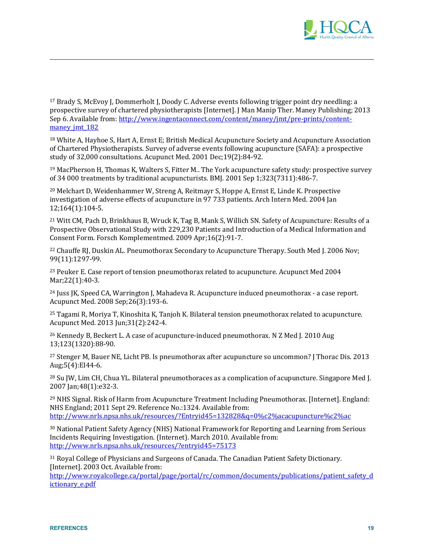

<sup>17</sup> Brady S, McEvoy J, Dommerholt J, Doody C. Adverse events following trigger point dry needling: a prospective survey of chartered physiotherapists [Internet]. J Man Manip Ther. Maney Publishing; 2013 Sep 6. Available from: http://www.ingentaconnect.com/content/maney/jmt/pre-prints/contentmaney\_jmt\_182

 

<sup>18</sup> White A, Hayhoe S, Hart A, Ernst E; British Medical Acupuncture Society and Acupuncture Association of Chartered Physiotherapists. Survey of adverse events following acupuncture (SAFA): a prospective study of 32,000 consultations. Acupunct Med. 2001 Dec:19(2):84-92.

<sup>19</sup> MacPherson H, Thomas K, Walters S, Fitter M.. The York acupuncture safety study: prospective survey of 34 000 treatments by traditional acupuncturists. BMJ. 2001 Sep 1;323(7311):486-7.

<sup>20</sup> Melchart D, Weidenhammer W, Streng A, Reitmayr S, Hoppe A, Ernst E, Linde K. Prospective investigation of adverse effects of acupuncture in 97 733 patients. Arch Intern Med. 2004 Jan 12;164(1):104‐5. 

<sup>21</sup> Witt CM, Pach D, Brinkhaus B, Wruck K, Tag B, Mank S, Willich SN. Safety of Acupuncture: Results of a Prospective Observational Study with 229,230 Patients and Introduction of a Medical Information and Consent Form. Forsch Komplementmed. 2009 Apr;16(2):91-7.

<sup>22</sup> Chauffe RJ, Duskin AL. Pneumothorax Secondary to Acupuncture Therapy. South Med J. 2006 Nov; 99(11):1297‐99. 

<sup>23</sup> Peuker E. Case report of tension pneumothorax related to acupuncture. Acupunct Med 2004 Mar; 22(1): 40-3.

 $24$  Juss JK, Speed CA, Warrington J, Mahadeva R. Acupuncture induced pneumothorax - a case report. Acupunct Med. 2008 Sep;26(3):193‐6. 

 $25$  Tagami R, Moriya T, Kinoshita K, Tanjoh K. Bilateral tension pneumothorax related to acupuncture. Acupunct Med. 2013 Jun;31(2):242-4.

 $26$  Kennedy B, Beckert L. A case of acupuncture-induced pneumothorax. N Z Med J. 2010 Aug 13;123(1320):88‐90. 

<sup>27</sup> Stenger M, Bauer NE, Licht PB. Is pneumothorax after acupuncture so uncommon? J Thorac Dis. 2013 Aug;5(4):EI44‐6. 

 $^{28}$  Su JW, Lim CH, Chua YL. Bilateral pneumothoraces as a complication of acupuncture. Singapore Med J. 2007 Jan;48(1):e32-3.

 $29$  NHS Signal. Risk of Harm from Acupuncture Treatment Including Pneumothorax. [Internet]. England: NHS England; 2011 Sept 29. Reference No.:1324. Available from: http://www.nrls.npsa.nhs.uk/resources/?Entryid45=132828&q=0%c2%acacupuncture%c2%ac

<sup>30</sup> National Patient Safety Agency (NHS) National Framework for Reporting and Learning from Serious Incidents Requiring Investigation. (Internet). March 2010. Available from: http://www.nrls.npsa.nhs.uk/resources/?entryid45=75173

31 Royal College of Physicians and Surgeons of Canada. The Canadian Patient Safety Dictionary. [Internet]. 2003 Oct. Available from:

http://www.royalcollege.ca/portal/page/portal/rc/common/documents/publications/patient\_safety\_d ictionary\_e.pdf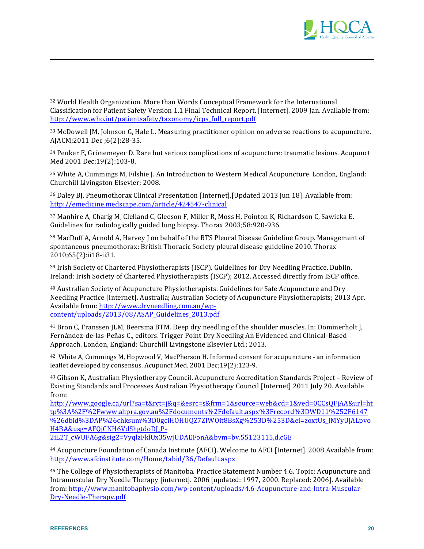

<sup>32</sup> World Health Organization. More than Words Conceptual Framework for the International Classification for Patient Safety Version 1.1 Final Technical Report. [Internet]. 2009 Jan. Available from: http://www.who.int/patientsafety/taxonomy/icps full report.pdf

<sup>33</sup> McDowell JM, Johnson G, Hale L. Measuring practitioner opinion on adverse reactions to acupuncture. AJACM;2011 Dec;6(2):28-35.

<sup>34</sup> Peuker E, Grönemeyer D. Rare but serious complications of acupuncture: traumatic lesions. Acupunct Med 2001 Dec; 19(2): 103-8.

<sup>35</sup> White A, Cummings M, Filshie J. An Introduction to Western Medical Acupuncture. London, England: Churchill Livingston Elsevier; 2008.

<sup>36</sup> Daley BJ. Pneumothorax Clinical Presentation [Internet]. [Updated 2013 Jun 18]. Available from: http://emedicine.medscape.com/article/424547-clinical

<sup>37</sup> Manhire A, Charig M, Clelland C, Gleeson F, Miller R, Moss H, Pointon K, Richardson C, Sawicka E. Guidelines for radiologically guided lung biopsy. Thorax 2003;58:920-936.

<sup>38</sup> MacDuff A, Arnold A, Harvey J on behalf of the BTS Pleural Disease Guideline Group. Management of spontaneous pneumothorax: British Thoracic Society pleural disease guideline 2010. Thorax 2010;65(2):ii18-ii31.

<sup>39</sup> Irish Society of Chartered Physiotherapists (ISCP). Guidelines for Dry Needling Practice. Dublin. Ireland: Irish Society of Chartered Physiotherapists (ISCP); 2012. Accessed directly from ISCP office.

<sup>40</sup> Australian Society of Acupuncture Physiotherapists. Guidelines for Safe Acupuncture and Dry Needling Practice [Internet]. Australia; Australian Society of Acupuncture Physiotherapists; 2013 Apr. Available from: http://www.dryneedling.com.au/wpcontent/uploads/2013/08/ASAP\_Guidelines\_2013.pdf

<sup>41</sup> Bron C, Franssen JLM, Beersma BTM. Deep dry needling of the shoulder muscles. In: Dommerholt J, Fernández-de-las-Peñas C., editors. Trigger Point Dry Needling An Evidenced and Clinical-Based Approach, London, England: Churchill Livingstone Elsevier Ltd.: 2013.

<sup>42</sup> White A, Cummings M, Hopwood V, MacPherson H. Informed consent for acupuncture - an information leaflet developed by consensus. Acupunct Med. 2001 Dec;19(2):123-9.

43 Gibson K, Australian Physiotherapy Council. Acupuncture Accreditation Standards Project - Review of Existing Standards and Processes Australian Physiotherapy Council [Internet] 2011 July 20. Available from:

http://www.google.ca/url?sa=t&rct=j&q=&esrc=s&frm=1&source=web&cd=1&ved=0CCsQFjAA&url=ht tp%3A%2F%2Fwww.ahpra.gov.au%2Fdocuments%2Fdefault.aspx%3Frecord%3DWD11%252F6147 %26dbid%3DAP%26chksum%3D0gciHOHU0Z7ZIW0it8BsXg%253D%253D&ei=zoxtUs JMYyUjALpvo H4BA&usg=AFQjCNH6VdShgtdoDJ\_P-

2iL2T cWUFA6g&sig2=VyqlzFklUx35wjUDAEFonA&bvm=bv.55123115,d.cGE

<sup>44</sup> Acupuncture Foundation of Canada Institute (AFCI). Welcome to AFCI [Internet]. 2008 Available from: http://www.afcinstitute.com/Home/tabid/36/Default.aspx

<sup>45</sup> The College of Physiotherapists of Manitoba. Practice Statement Number 4.6. Topic: Acupuncture and Intramuscular Dry Needle Therapy [internet]. 2006 [updated: 1997, 2000. Replaced: 2006]. Available from: http://www.manitobaphysio.com/wp-content/uploads/4.6-Acupuncture-and-Intra-Muscular-Dry-Needle-Therapy.pdf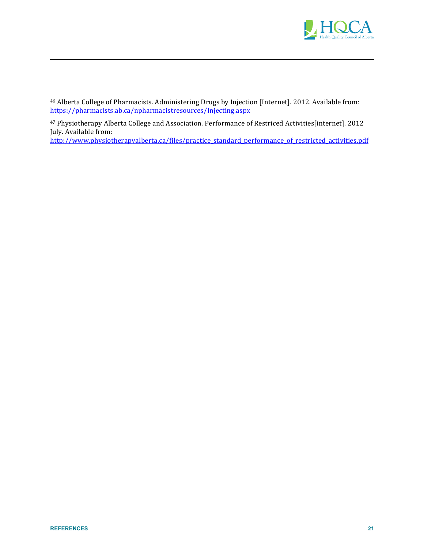

46 Alberta College of Pharmacists. Administering Drugs by Injection [Internet]. 2012. Available from: https://pharmacists.ab.ca/npharmacistresources/Injecting.aspx

!!!!!!!!!!!!!!!!!!!!!!!!!!!!!!!!!!!!!!!!!!!!!!!!!!!!!!!!!!!!!!!!!!!!!!!!!!!!!!!!!!!!!!!!!!!!!!!!!!!!!!!!!!!!!!!!!!!!!!!!!!!!!!!!!!!!!!!!!!!!!!!!!!!!!!!!!!!!!!!!!!!!!!!!!!!!!!!!!!!!!!!!!!!!!!!!!!!!!!!!!!!!!!!

47 Physiotherapy Alberta College and Association. Performance of Restriced Activities[internet]. 2012 July. Available from:

http://www.physiotherapyalberta.ca/files/practice\_standard\_performance\_of\_restricted\_activities.pdf